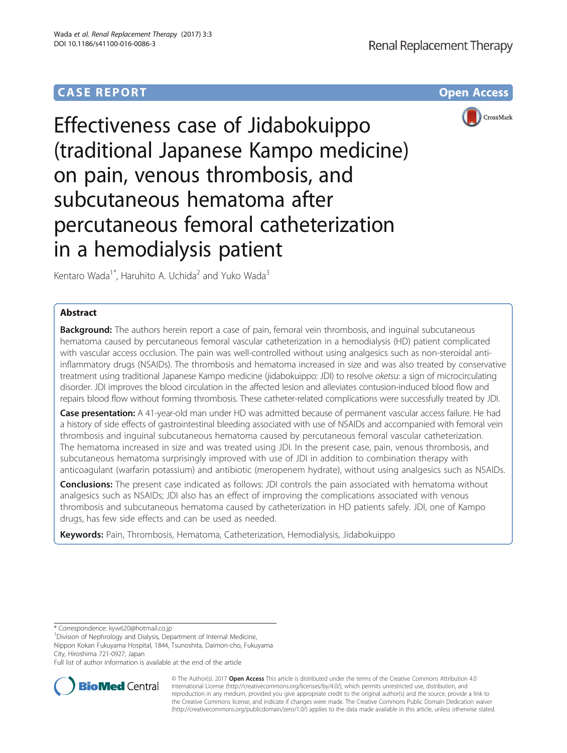# **CASE REPORT CASE REPORT CASE REPORT**



# Effectiveness case of Jidabokuippo (traditional Japanese Kampo medicine) on pain, venous thrombosis, and subcutaneous hematoma after percutaneous femoral catheterization in a hemodialysis patient

Kentaro Wada<sup>1\*</sup>, Haruhito A. Uchida<sup>2</sup> and Yuko Wada<sup>3</sup>

# Abstract

**Background:** The authors herein report a case of pain, femoral vein thrombosis, and inguinal subcutaneous hematoma caused by percutaneous femoral vascular catheterization in a hemodialysis (HD) patient complicated with vascular access occlusion. The pain was well-controlled without using analgesics such as non-steroidal antiinflammatory drugs (NSAIDs). The thrombosis and hematoma increased in size and was also treated by conservative treatment using traditional Japanese Kampo medicine (jidabokuippo: JDI) to resolve oketsu: a sign of microcirculating disorder. JDI improves the blood circulation in the affected lesion and alleviates contusion-induced blood flow and repairs blood flow without forming thrombosis. These catheter-related complications were successfully treated by JDI.

Case presentation: A 41-year-old man under HD was admitted because of permanent vascular access failure. He had a history of side effects of gastrointestinal bleeding associated with use of NSAIDs and accompanied with femoral vein thrombosis and inguinal subcutaneous hematoma caused by percutaneous femoral vascular catheterization. The hematoma increased in size and was treated using JDI. In the present case, pain, venous thrombosis, and subcutaneous hematoma surprisingly improved with use of JDI in addition to combination therapy with anticoagulant (warfarin potassium) and antibiotic (meropenem hydrate), without using analgesics such as NSAIDs.

**Conclusions:** The present case indicated as follows: JDI controls the pain associated with hematoma without analgesics such as NSAIDs; JDI also has an effect of improving the complications associated with venous thrombosis and subcutaneous hematoma caused by catheterization in HD patients safely. JDI, one of Kampo drugs, has few side effects and can be used as needed.

Keywords: Pain, Thrombosis, Hematoma, Catheterization, Hemodialysis, Jidabokuippo

\* Correspondence: [kyw620@hotmail.co.jp](mailto:kyw620@hotmail.co.jp) <sup>1</sup>

<sup>1</sup> Division of Nephrology and Dialysis, Department of Internal Medicine,

Nippon Kokan Fukuyama Hospital, 1844, Tsunoshita, Daimon-cho, Fukuyama City, Hiroshima 721-0927, Japan

Full list of author information is available at the end of the article



© The Author(s). 2017 **Open Access** This article is distributed under the terms of the Creative Commons Attribution 4.0 International License [\(http://creativecommons.org/licenses/by/4.0/](http://creativecommons.org/licenses/by/4.0/)), which permits unrestricted use, distribution, and reproduction in any medium, provided you give appropriate credit to the original author(s) and the source, provide a link to the Creative Commons license, and indicate if changes were made. The Creative Commons Public Domain Dedication waiver [\(http://creativecommons.org/publicdomain/zero/1.0/](http://creativecommons.org/publicdomain/zero/1.0/)) applies to the data made available in this article, unless otherwise stated.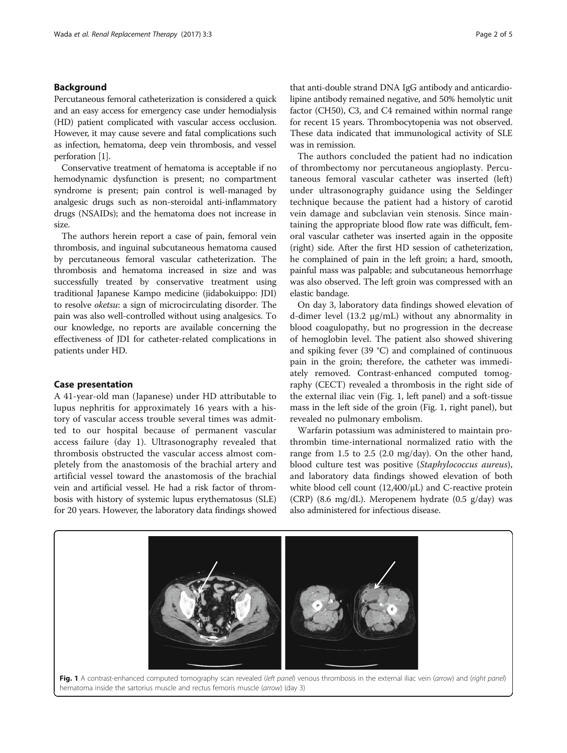# Background

Percutaneous femoral catheterization is considered a quick and an easy access for emergency case under hemodialysis (HD) patient complicated with vascular access occlusion. However, it may cause severe and fatal complications such as infection, hematoma, deep vein thrombosis, and vessel perforation [\[1](#page-4-0)].

Conservative treatment of hematoma is acceptable if no hemodynamic dysfunction is present; no compartment syndrome is present; pain control is well-managed by analgesic drugs such as non-steroidal anti-inflammatory drugs (NSAIDs); and the hematoma does not increase in size.

The authors herein report a case of pain, femoral vein thrombosis, and inguinal subcutaneous hematoma caused by percutaneous femoral vascular catheterization. The thrombosis and hematoma increased in size and was successfully treated by conservative treatment using traditional Japanese Kampo medicine (jidabokuippo: JDI) to resolve oketsu: a sign of microcirculating disorder. The pain was also well-controlled without using analgesics. To our knowledge, no reports are available concerning the effectiveness of JDI for catheter-related complications in patients under HD.

# Case presentation

A 41-year-old man (Japanese) under HD attributable to lupus nephritis for approximately 16 years with a history of vascular access trouble several times was admitted to our hospital because of permanent vascular access failure (day 1). Ultrasonography revealed that thrombosis obstructed the vascular access almost completely from the anastomosis of the brachial artery and artificial vessel toward the anastomosis of the brachial vein and artificial vessel. He had a risk factor of thrombosis with history of systemic lupus erythematosus (SLE) for 20 years. However, the laboratory data findings showed

that anti-double strand DNA IgG antibody and anticardiolipine antibody remained negative, and 50% hemolytic unit factor (CH50), C3, and C4 remained within normal range for recent 15 years. Thrombocytopenia was not observed. These data indicated that immunological activity of SLE

was in remission. The authors concluded the patient had no indication of thrombectomy nor percutaneous angioplasty. Percutaneous femoral vascular catheter was inserted (left) under ultrasonography guidance using the Seldinger technique because the patient had a history of carotid vein damage and subclavian vein stenosis. Since maintaining the appropriate blood flow rate was difficult, femoral vascular catheter was inserted again in the opposite (right) side. After the first HD session of catheterization, he complained of pain in the left groin; a hard, smooth, painful mass was palpable; and subcutaneous hemorrhage was also observed. The left groin was compressed with an elastic bandage.

On day 3, laboratory data findings showed elevation of d-dimer level (13.2 μg/mL) without any abnormality in blood coagulopathy, but no progression in the decrease of hemoglobin level. The patient also showed shivering and spiking fever (39 °C) and complained of continuous pain in the groin; therefore, the catheter was immediately removed. Contrast-enhanced computed tomography (CECT) revealed a thrombosis in the right side of the external iliac vein (Fig. 1, left panel) and a soft-tissue mass in the left side of the groin (Fig. 1, right panel), but revealed no pulmonary embolism.

Warfarin potassium was administered to maintain prothrombin time-international normalized ratio with the range from 1.5 to 2.5 (2.0 mg/day). On the other hand, blood culture test was positive (Staphylococcus aureus), and laboratory data findings showed elevation of both white blood cell count (12,400/μL) and C-reactive protein (CRP) (8.6 mg/dL). Meropenem hydrate (0.5 g/day) was also administered for infectious disease.

Fig. 1 A contrast-enhanced computed tomography scan revealed (left panel) venous thrombosis in the external iliac vein (arrow) and (right panel) hematoma inside the sartorius muscle and rectus femoris muscle (arrow) (day 3)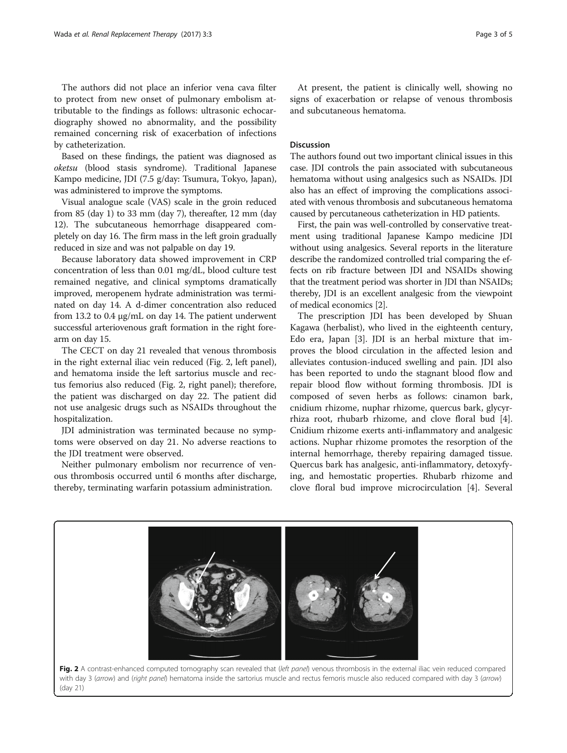The authors did not place an inferior vena cava filter to protect from new onset of pulmonary embolism attributable to the findings as follows: ultrasonic echocardiography showed no abnormality, and the possibility remained concerning risk of exacerbation of infections by catheterization.

Based on these findings, the patient was diagnosed as oketsu (blood stasis syndrome). Traditional Japanese Kampo medicine, JDI (7.5 g/day: Tsumura, Tokyo, Japan), was administered to improve the symptoms.

Visual analogue scale (VAS) scale in the groin reduced from 85 (day 1) to 33 mm (day 7), thereafter, 12 mm (day 12). The subcutaneous hemorrhage disappeared completely on day 16. The firm mass in the left groin gradually reduced in size and was not palpable on day 19.

Because laboratory data showed improvement in CRP concentration of less than 0.01 mg/dL, blood culture test remained negative, and clinical symptoms dramatically improved, meropenem hydrate administration was terminated on day 14. A d-dimer concentration also reduced from 13.2 to 0.4 μg/mL on day 14. The patient underwent successful arteriovenous graft formation in the right forearm on day 15.

The CECT on day 21 revealed that venous thrombosis in the right external iliac vein reduced (Fig. 2, left panel), and hematoma inside the left sartorius muscle and rectus femorius also reduced (Fig. 2, right panel); therefore, the patient was discharged on day 22. The patient did not use analgesic drugs such as NSAIDs throughout the hospitalization.

JDI administration was terminated because no symptoms were observed on day 21. No adverse reactions to the JDI treatment were observed.

Neither pulmonary embolism nor recurrence of venous thrombosis occurred until 6 months after discharge, thereby, terminating warfarin potassium administration.

(day 21)

At present, the patient is clinically well, showing no signs of exacerbation or relapse of venous thrombosis and subcutaneous hematoma.

# Discussion

The authors found out two important clinical issues in this case. JDI controls the pain associated with subcutaneous hematoma without using analgesics such as NSAIDs. JDI also has an effect of improving the complications associated with venous thrombosis and subcutaneous hematoma caused by percutaneous catheterization in HD patients.

First, the pain was well-controlled by conservative treatment using traditional Japanese Kampo medicine JDI without using analgesics. Several reports in the literature describe the randomized controlled trial comparing the effects on rib fracture between JDI and NSAIDs showing that the treatment period was shorter in JDI than NSAIDs; thereby, JDI is an excellent analgesic from the viewpoint of medical economics [\[2](#page-4-0)].

The prescription JDI has been developed by Shuan Kagawa (herbalist), who lived in the eighteenth century, Edo era, Japan [[3\]](#page-4-0). JDI is an herbal mixture that improves the blood circulation in the affected lesion and alleviates contusion-induced swelling and pain. JDI also has been reported to undo the stagnant blood flow and repair blood flow without forming thrombosis. JDI is composed of seven herbs as follows: cinamon bark, cnidium rhizome, nuphar rhizome, quercus bark, glycyrrhiza root, rhubarb rhizome, and clove floral bud [\[4](#page-4-0)]. Cnidium rhizome exerts anti-inflammatory and analgesic actions. Nuphar rhizome promotes the resorption of the internal hemorrhage, thereby repairing damaged tissue. Quercus bark has analgesic, anti-inflammatory, detoxyfying, and hemostatic properties. Rhubarb rhizome and clove floral bud improve microcirculation [[4\]](#page-4-0). Several

Fig. 2 A contrast-enhanced computed tomography scan revealed that (left panel) venous thrombosis in the external iliac vein reduced compared with day 3 (arrow) and (right panel) hematoma inside the sartorius muscle and rectus femoris muscle also reduced compared with day 3 (arrow)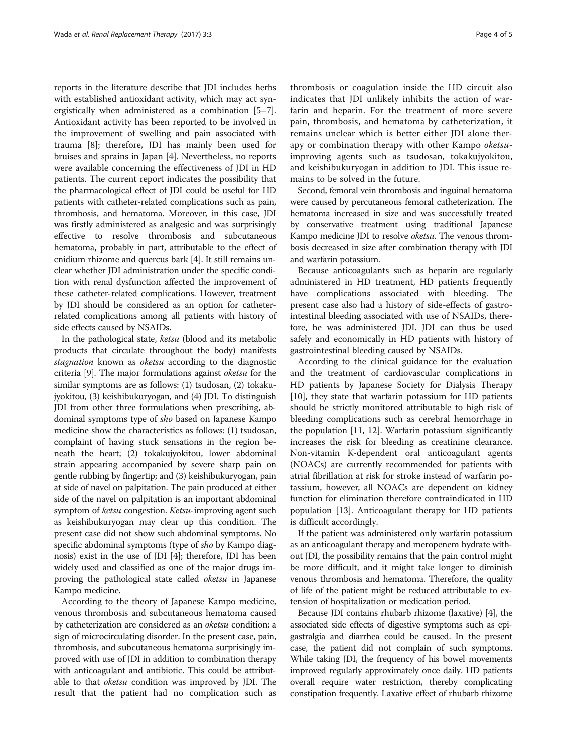reports in the literature describe that JDI includes herbs with established antioxidant activity, which may act synergistically when administered as a combination [\[5](#page-4-0)–[7](#page-4-0)]. Antioxidant activity has been reported to be involved in the improvement of swelling and pain associated with trauma [\[8\]](#page-4-0); therefore, JDI has mainly been used for bruises and sprains in Japan [[4](#page-4-0)]. Nevertheless, no reports were available concerning the effectiveness of JDI in HD patients. The current report indicates the possibility that the pharmacological effect of JDI could be useful for HD patients with catheter-related complications such as pain, thrombosis, and hematoma. Moreover, in this case, JDI was firstly administered as analgesic and was surprisingly effective to resolve thrombosis and subcutaneous hematoma, probably in part, attributable to the effect of cnidium rhizome and quercus bark [\[4](#page-4-0)]. It still remains unclear whether JDI administration under the specific condition with renal dysfunction affected the improvement of these catheter-related complications. However, treatment by JDI should be considered as an option for catheterrelated complications among all patients with history of side effects caused by NSAIDs.

In the pathological state, ketsu (blood and its metabolic products that circulate throughout the body) manifests stagnation known as oketsu according to the diagnostic criteria [\[9](#page-4-0)]. The major formulations against oketsu for the similar symptoms are as follows: (1) tsudosan, (2) tokakujyokitou, (3) keishibukuryogan, and (4) JDI. To distinguish JDI from other three formulations when prescribing, abdominal symptoms type of sho based on Japanese Kampo medicine show the characteristics as follows: (1) tsudosan, complaint of having stuck sensations in the region beneath the heart; (2) tokakujyokitou, lower abdominal strain appearing accompanied by severe sharp pain on gentle rubbing by fingertip; and (3) keishibukuryogan, pain at side of navel on palpitation. The pain produced at either side of the navel on palpitation is an important abdominal symptom of ketsu congestion. Ketsu-improving agent such as keishibukuryogan may clear up this condition. The present case did not show such abdominal symptoms. No specific abdominal symptoms (type of sho by Kampo diagnosis) exist in the use of JDI [[4\]](#page-4-0); therefore, JDI has been widely used and classified as one of the major drugs improving the pathological state called oketsu in Japanese Kampo medicine.

According to the theory of Japanese Kampo medicine, venous thrombosis and subcutaneous hematoma caused by catheterization are considered as an oketsu condition: a sign of microcirculating disorder. In the present case, pain, thrombosis, and subcutaneous hematoma surprisingly improved with use of JDI in addition to combination therapy with anticoagulant and antibiotic. This could be attributable to that oketsu condition was improved by JDI. The result that the patient had no complication such as

thrombosis or coagulation inside the HD circuit also indicates that JDI unlikely inhibits the action of warfarin and heparin. For the treatment of more severe pain, thrombosis, and hematoma by catheterization, it remains unclear which is better either JDI alone therapy or combination therapy with other Kampo oketsuimproving agents such as tsudosan, tokakujyokitou, and keishibukuryogan in addition to JDI. This issue remains to be solved in the future.

Second, femoral vein thrombosis and inguinal hematoma were caused by percutaneous femoral catheterization. The hematoma increased in size and was successfully treated by conservative treatment using traditional Japanese Kampo medicine JDI to resolve oketsu. The venous thrombosis decreased in size after combination therapy with JDI and warfarin potassium.

Because anticoagulants such as heparin are regularly administered in HD treatment, HD patients frequently have complications associated with bleeding. The present case also had a history of side-effects of gastrointestinal bleeding associated with use of NSAIDs, therefore, he was administered JDI. JDI can thus be used safely and economically in HD patients with history of gastrointestinal bleeding caused by NSAIDs.

According to the clinical guidance for the evaluation and the treatment of cardiovascular complications in HD patients by Japanese Society for Dialysis Therapy [[10\]](#page-4-0), they state that warfarin potassium for HD patients should be strictly monitored attributable to high risk of bleeding complications such as cerebral hemorrhage in the population [\[11](#page-4-0), [12](#page-4-0)]. Warfarin potassium significantly increases the risk for bleeding as creatinine clearance. Non-vitamin K-dependent oral anticoagulant agents (NOACs) are currently recommended for patients with atrial fibrillation at risk for stroke instead of warfarin potassium, however, all NOACs are dependent on kidney function for elimination therefore contraindicated in HD population [\[13\]](#page-4-0). Anticoagulant therapy for HD patients is difficult accordingly.

If the patient was administered only warfarin potassium as an anticoagulant therapy and meropenem hydrate without JDI, the possibility remains that the pain control might be more difficult, and it might take longer to diminish venous thrombosis and hematoma. Therefore, the quality of life of the patient might be reduced attributable to extension of hospitalization or medication period.

Because JDI contains rhubarb rhizome (laxative) [\[4\]](#page-4-0), the associated side effects of digestive symptoms such as epigastralgia and diarrhea could be caused. In the present case, the patient did not complain of such symptoms. While taking JDI, the frequency of his bowel movements improved regularly approximately once daily. HD patients overall require water restriction, thereby complicating constipation frequently. Laxative effect of rhubarb rhizome